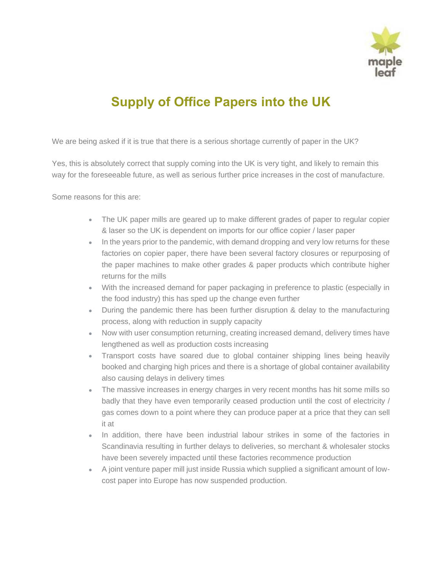

## **Supply of Office Papers into the UK**

We are being asked if it is true that there is a serious shortage currently of paper in the UK?

Yes, this is absolutely correct that supply coming into the UK is very tight, and likely to remain this way for the foreseeable future, as well as serious further price increases in the cost of manufacture.

Some reasons for this are:

- The UK paper mills are geared up to make different grades of paper to regular copier & laser so the UK is dependent on imports for our office copier / laser paper
- In the years prior to the pandemic, with demand dropping and very low returns for these factories on copier paper, there have been several factory closures or repurposing of the paper machines to make other grades & paper products which contribute higher returns for the mills
- With the increased demand for paper packaging in preference to plastic (especially in the food industry) this has sped up the change even further
- During the pandemic there has been further disruption & delay to the manufacturing process, along with reduction in supply capacity
- Now with user consumption returning, creating increased demand, delivery times have lengthened as well as production costs increasing
- Transport costs have soared due to global container shipping lines being heavily booked and charging high prices and there is a shortage of global container availability also causing delays in delivery times
- The massive increases in energy charges in very recent months has hit some mills so badly that they have even temporarily ceased production until the cost of electricity / gas comes down to a point where they can produce paper at a price that they can sell it at
- In addition, there have been industrial labour strikes in some of the factories in Scandinavia resulting in further delays to deliveries, so merchant & wholesaler stocks have been severely impacted until these factories recommence production
- A joint venture paper mill just inside Russia which supplied a significant amount of lowcost paper into Europe has now suspended production.